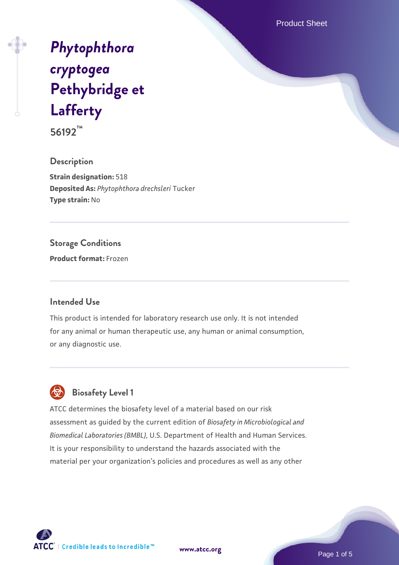Product Sheet

# *[Phytophthora](https://www.atcc.org/products/56192) [cryptogea](https://www.atcc.org/products/56192)* **[Pethybridge et](https://www.atcc.org/products/56192) [Lafferty](https://www.atcc.org/products/56192)**

**56192™**

**Description Strain designation:** 518 **Deposited As:** *Phytophthora drechsleri* Tucker **Type strain:** No

#### **Storage Conditions**

**Product format:** Frozen

#### **Intended Use**

This product is intended for laboratory research use only. It is not intended for any animal or human therapeutic use, any human or animal consumption, or any diagnostic use.



ATCC determines the biosafety level of a material based on our risk assessment as guided by the current edition of *Biosafety in Microbiological and Biomedical Laboratories (BMBL)*, U.S. Department of Health and Human Services. It is your responsibility to understand the hazards associated with the material per your organization's policies and procedures as well as any other



**[www.atcc.org](http://www.atcc.org)**

Page 1 of 5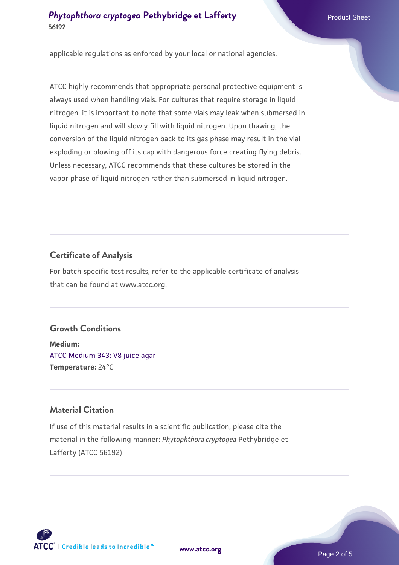#### **[Phytophthora cryptogea](https://www.atcc.org/products/56192)** [Pethybridge et Lafferty](https://www.atcc.org/products/56192) Product Sheet **56192**

applicable regulations as enforced by your local or national agencies.

ATCC highly recommends that appropriate personal protective equipment is always used when handling vials. For cultures that require storage in liquid nitrogen, it is important to note that some vials may leak when submersed in liquid nitrogen and will slowly fill with liquid nitrogen. Upon thawing, the conversion of the liquid nitrogen back to its gas phase may result in the vial exploding or blowing off its cap with dangerous force creating flying debris. Unless necessary, ATCC recommends that these cultures be stored in the vapor phase of liquid nitrogen rather than submersed in liquid nitrogen.

### **Certificate of Analysis**

For batch-specific test results, refer to the applicable certificate of analysis that can be found at www.atcc.org.

#### **Growth Conditions**

**Medium:**  [ATCC Medium 343: V8 juice agar](https://www.atcc.org/-/media/product-assets/documents/microbial-media-formulations/3/4/3/atcc-medium-0343.pdf?rev=fbf48fa24e664932828269db1822ab12) **Temperature:** 24°C

#### **Material Citation**

If use of this material results in a scientific publication, please cite the material in the following manner: *Phytophthora cryptogea* Pethybridge et Lafferty (ATCC 56192)



**[www.atcc.org](http://www.atcc.org)**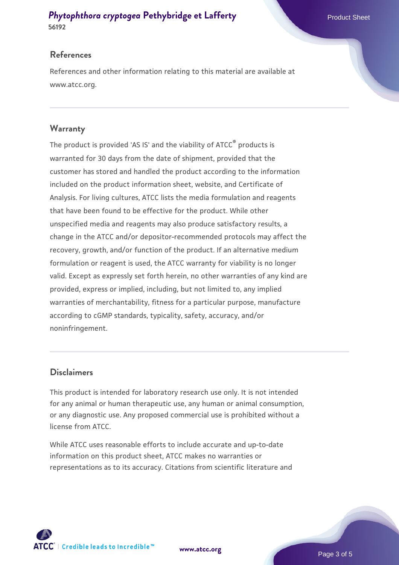#### **[Phytophthora cryptogea](https://www.atcc.org/products/56192)** [Pethybridge et Lafferty](https://www.atcc.org/products/56192) Product Sheet **56192**

#### **References**

References and other information relating to this material are available at www.atcc.org.

#### **Warranty**

The product is provided 'AS IS' and the viability of ATCC® products is warranted for 30 days from the date of shipment, provided that the customer has stored and handled the product according to the information included on the product information sheet, website, and Certificate of Analysis. For living cultures, ATCC lists the media formulation and reagents that have been found to be effective for the product. While other unspecified media and reagents may also produce satisfactory results, a change in the ATCC and/or depositor-recommended protocols may affect the recovery, growth, and/or function of the product. If an alternative medium formulation or reagent is used, the ATCC warranty for viability is no longer valid. Except as expressly set forth herein, no other warranties of any kind are provided, express or implied, including, but not limited to, any implied warranties of merchantability, fitness for a particular purpose, manufacture according to cGMP standards, typicality, safety, accuracy, and/or noninfringement.

#### **Disclaimers**

This product is intended for laboratory research use only. It is not intended for any animal or human therapeutic use, any human or animal consumption, or any diagnostic use. Any proposed commercial use is prohibited without a license from ATCC.

While ATCC uses reasonable efforts to include accurate and up-to-date information on this product sheet, ATCC makes no warranties or representations as to its accuracy. Citations from scientific literature and



**[www.atcc.org](http://www.atcc.org)**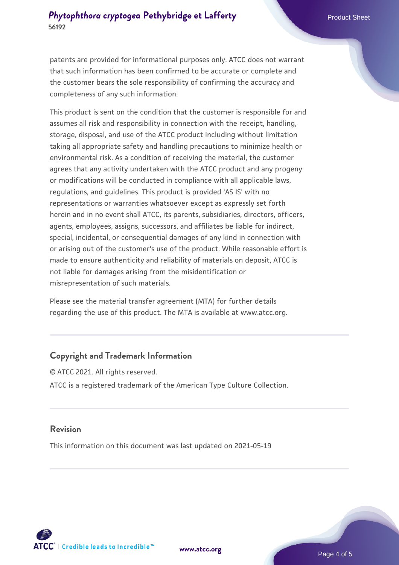#### **[Phytophthora cryptogea](https://www.atcc.org/products/56192)** [Pethybridge et Lafferty](https://www.atcc.org/products/56192) Product Sheet **56192**

patents are provided for informational purposes only. ATCC does not warrant that such information has been confirmed to be accurate or complete and the customer bears the sole responsibility of confirming the accuracy and completeness of any such information.

This product is sent on the condition that the customer is responsible for and assumes all risk and responsibility in connection with the receipt, handling, storage, disposal, and use of the ATCC product including without limitation taking all appropriate safety and handling precautions to minimize health or environmental risk. As a condition of receiving the material, the customer agrees that any activity undertaken with the ATCC product and any progeny or modifications will be conducted in compliance with all applicable laws, regulations, and guidelines. This product is provided 'AS IS' with no representations or warranties whatsoever except as expressly set forth herein and in no event shall ATCC, its parents, subsidiaries, directors, officers, agents, employees, assigns, successors, and affiliates be liable for indirect, special, incidental, or consequential damages of any kind in connection with or arising out of the customer's use of the product. While reasonable effort is made to ensure authenticity and reliability of materials on deposit, ATCC is not liable for damages arising from the misidentification or misrepresentation of such materials.

Please see the material transfer agreement (MTA) for further details regarding the use of this product. The MTA is available at www.atcc.org.

#### **Copyright and Trademark Information**

© ATCC 2021. All rights reserved. ATCC is a registered trademark of the American Type Culture Collection.

#### **Revision**

This information on this document was last updated on 2021-05-19



**[www.atcc.org](http://www.atcc.org)**